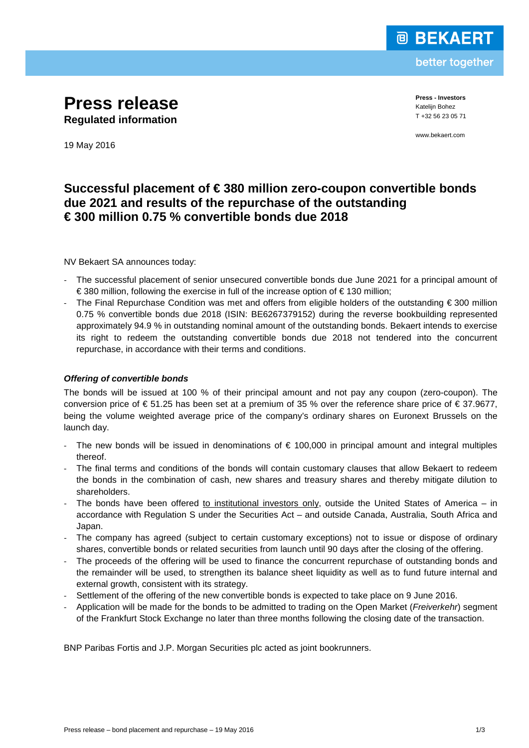

better together

**Press release Regulated information**

**Press - Investors** Katelijn Bohez T +32 56 23 05 71

www.bekaert.com

19 May 2016

# **Successful placement of € 380 million zero-coupon convertible bonds due 2021 and results of the repurchase of the outstanding € 300 million 0.75 % convertible bonds due 2018**

NV Bekaert SA announces today:

- The successful placement of senior unsecured convertible bonds due June 2021 for a principal amount of € 380 million, following the exercise in full of the increase option of € 130 million;
- The Final Repurchase Condition was met and offers from eligible holders of the outstanding € 300 million 0.75 % convertible bonds due 2018 (ISIN: BE6267379152) during the reverse bookbuilding represented approximately 94.9 % in outstanding nominal amount of the outstanding bonds. Bekaert intends to exercise its right to redeem the outstanding convertible bonds due 2018 not tendered into the concurrent repurchase, in accordance with their terms and conditions.

## *Offering of convertible bonds*

The bonds will be issued at 100 % of their principal amount and not pay any coupon (zero-coupon). The conversion price of  $\epsilon$  51.25 has been set at a premium of 35 % over the reference share price of  $\epsilon$  37.9677, being the volume weighted average price of the company's ordinary shares on Euronext Brussels on the launch day.

- The new bonds will be issued in denominations of  $\epsilon$  100,000 in principal amount and integral multiples thereof.
- The final terms and conditions of the bonds will contain customary clauses that allow Bekaert to redeem the bonds in the combination of cash, new shares and treasury shares and thereby mitigate dilution to shareholders.
- The bonds have been offered to institutional investors only, outside the United States of America in accordance with Regulation S under the Securities Act – and outside Canada, Australia, South Africa and Japan.
- The company has agreed (subject to certain customary exceptions) not to issue or dispose of ordinary shares, convertible bonds or related securities from launch until 90 days after the closing of the offering.
- The proceeds of the offering will be used to finance the concurrent repurchase of outstanding bonds and the remainder will be used, to strengthen its balance sheet liquidity as well as to fund future internal and external growth, consistent with its strategy.
- Settlement of the offering of the new convertible bonds is expected to take place on 9 June 2016.
- Application will be made for the bonds to be admitted to trading on the Open Market (*Freiverkehr*) segment of the Frankfurt Stock Exchange no later than three months following the closing date of the transaction.

BNP Paribas Fortis and J.P. Morgan Securities plc acted as joint bookrunners.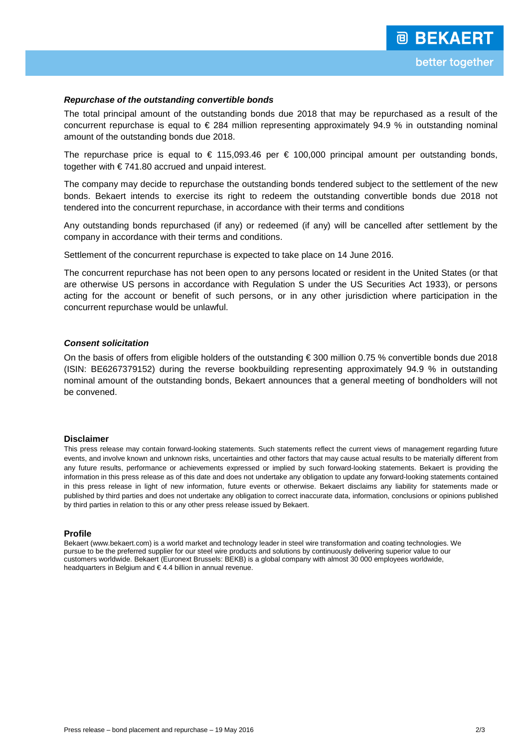### *Repurchase of the outstanding convertible bonds*

The total principal amount of the outstanding bonds due 2018 that may be repurchased as a result of the concurrent repurchase is equal to  $\epsilon$  284 million representing approximately 94.9 % in outstanding nominal amount of the outstanding bonds due 2018.

The repurchase price is equal to  $\epsilon$  115,093.46 per  $\epsilon$  100,000 principal amount per outstanding bonds, together with € 741.80 accrued and unpaid interest.

The company may decide to repurchase the outstanding bonds tendered subject to the settlement of the new bonds. Bekaert intends to exercise its right to redeem the outstanding convertible bonds due 2018 not tendered into the concurrent repurchase, in accordance with their terms and conditions

Any outstanding bonds repurchased (if any) or redeemed (if any) will be cancelled after settlement by the company in accordance with their terms and conditions.

Settlement of the concurrent repurchase is expected to take place on 14 June 2016.

The concurrent repurchase has not been open to any persons located or resident in the United States (or that are otherwise US persons in accordance with Regulation S under the US Securities Act 1933), or persons acting for the account or benefit of such persons, or in any other jurisdiction where participation in the concurrent repurchase would be unlawful.

#### *Consent solicitation*

On the basis of offers from eligible holders of the outstanding € 300 million 0.75 % convertible bonds due 2018 (ISIN: BE6267379152) during the reverse bookbuilding representing approximately 94.9 % in outstanding nominal amount of the outstanding bonds, Bekaert announces that a general meeting of bondholders will not be convened.

#### **Disclaimer**

This press release may contain forward-looking statements. Such statements reflect the current views of management regarding future events, and involve known and unknown risks, uncertainties and other factors that may cause actual results to be materially different from any future results, performance or achievements expressed or implied by such forward-looking statements. Bekaert is providing the information in this press release as of this date and does not undertake any obligation to update any forward-looking statements contained in this press release in light of new information, future events or otherwise. Bekaert disclaims any liability for statements made or published by third parties and does not undertake any obligation to correct inaccurate data, information, conclusions or opinions published by third parties in relation to this or any other press release issued by Bekaert.

#### **Profile**

Bekaert [\(www.bekaert.com\)](http://www.bekaert.com/) is a world market and technology leader in steel wire transformation and coating technologies. We pursue to be the preferred supplier for our steel wire products and solutions by continuously delivering superior value to our customers worldwide. Bekaert (Euronext Brussels: BEKB) is a global company with almost 30 000 employees worldwide, headquarters in Belgium and € 4.4 billion in annual revenue.